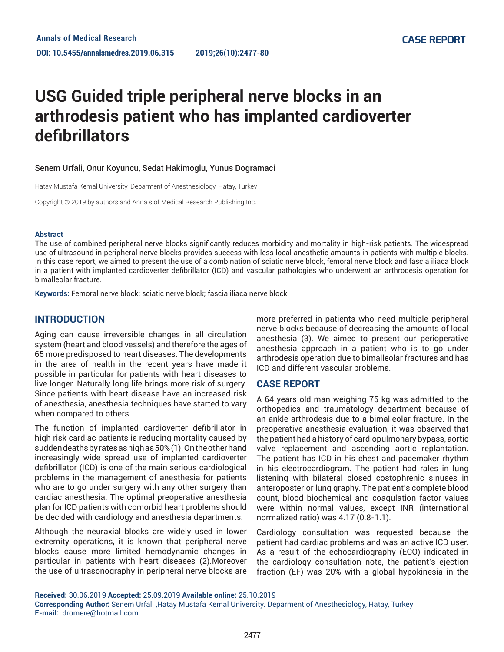# **USG Guided triple peripheral nerve blocks in an arthrodesis patient who has implanted cardioverter defibrillators**

#### Senem Urfali, Onur Koyuncu, Sedat Hakimoglu, Yunus Dogramaci

Hatay Mustafa Kemal University. Deparment of Anesthesiology, Hatay, Turkey

Copyright © 2019 by authors and Annals of Medical Research Publishing Inc.

#### **Abstract**

The use of combined peripheral nerve blocks significantly reduces morbidity and mortality in high-risk patients. The widespread use of ultrasound in peripheral nerve blocks provides success with less local anesthetic amounts in patients with multiple blocks. In this case report, we aimed to present the use of a combination of sciatic nerve block, femoral nerve block and fascia iliaca block in a patient with implanted cardioverter defibrillator (ICD) and vascular pathologies who underwent an arthrodesis operation for bimalleolar fracture.

**Keywords:** Femoral nerve block; sciatic nerve block; fascia iliaca nerve block.

## **INTRODUCTION**

Aging can cause irreversible changes in all circulation system (heart and blood vessels) and therefore the ages of 65 more predisposed to heart diseases. The developments in the area of health in the recent years have made it possible in particular for patients with heart diseases to live longer. Naturally long life brings more risk of surgery. Since patients with heart disease have an increased risk of anesthesia, anesthesia techniques have started to vary when compared to others.

The function of implanted cardioverter defibrillator in high risk cardiac patients is reducing mortality caused by sudden deaths by rates as high as 50% (1). On the other hand increasingly wide spread use of implanted cardioverter defibrillator (ICD) is one of the main serious cardiological problems in the management of anesthesia for patients who are to go under surgery with any other surgery than cardiac anesthesia. The optimal preoperative anesthesia plan for ICD patients with comorbid heart problems should be decided with cardiology and anesthesia departments.

Although the neuraxial blocks are widely used in lower extremity operations, it is known that peripheral nerve blocks cause more limited hemodynamic changes in particular in patients with heart diseases (2).Moreover the use of ultrasonography in peripheral nerve blocks are more preferred in patients who need multiple peripheral nerve blocks because of decreasing the amounts of local anesthesia (3). We aimed to present our perioperative anesthesia approach in a patient who is to go under arthrodesis operation due to bimalleolar fractures and has ICD and different vascular problems.

### **CASE REPORT**

A 64 years old man weighing 75 kg was admitted to the orthopedics and traumatology department because of an ankle arthrodesis due to a bimalleolar fracture. In the preoperative anesthesia evaluation, it was observed that the patient had a history of cardiopulmonary bypass, aortic valve replacement and ascending aortic replantation. The patient has ICD in his chest and pacemaker rhythm in his electrocardiogram. The patient had rales in lung listening with bilateral closed costophrenic sinuses in anteroposterior lung graphy. The patient's complete blood count, blood biochemical and coagulation factor values were within normal values, except INR (international normalized ratio) was 4.17 (0.8-1.1).

Cardiology consultation was requested because the patient had cardiac problems and was an active ICD user. As a result of the echocardiography (ECO) indicated in the cardiology consultation note, the patient's ejection fraction (EF) was 20% with a global hypokinesia in the

**Received:** 30.06.2019 **Accepted:** 25.09.2019 **Available online:** 25.10.2019 **Corresponding Author:** Senem Urfali ,Hatay Mustafa Kemal University. Deparment of Anesthesiology, Hatay, Turkey **E-mail:** dromere@hotmail.com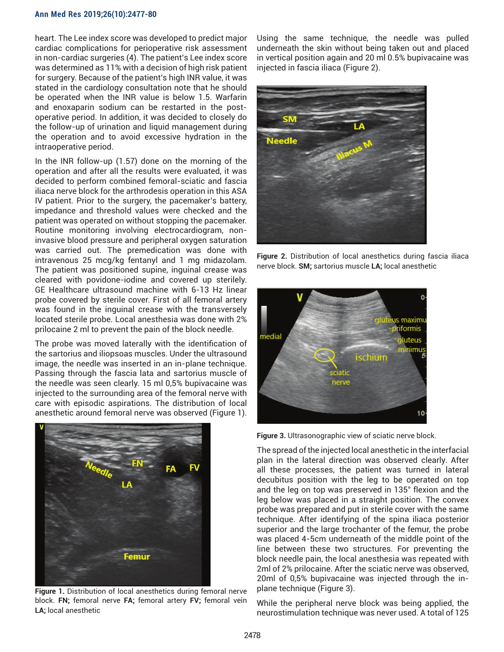#### **Ann Med Res 2019;26(10):2477-80**

heart. The Lee index score was developed to predict major cardiac complications for perioperative risk assessment in non-cardiac surgeries (4). The patient's Lee index score was determined as 11% with a decision of high risk patient for surgery. Because of the patient's high INR value, it was stated in the cardiology consultation note that he should be operated when the INR value is below 1.5. Warfarin and enoxaparin sodium can be restarted in the postoperative period. In addition, it was decided to closely do the follow-up of urination and liquid management during the operation and to avoid excessive hydration in the intraoperative period.

In the INR follow-up (1.57) done on the morning of the operation and after all the results were evaluated, it was decided to perform combined femoral-sciatic and fascia iliaca nerve block for the arthrodesis operation in this ASA IV patient. Prior to the surgery, the pacemaker's battery, impedance and threshold values were checked and the patient was operated on without stopping the pacemaker. Routine monitoring involving electrocardiogram, noninvasive blood pressure and peripheral oxygen saturation was carried out. The premedication was done with intravenous 25 mcg/kg fentanyl and 1 mg midazolam. The patient was positioned supine, inguinal crease was cleared with povidone-iodine and covered up sterilely. GE Healthcare ultrasound machine with 6-13 Hz linear probe covered by sterile cover. First of all femoral artery was found in the inguinal crease with the transversely located sterile probe. Local anesthesia was done with 2% prilocaine 2 ml to prevent the pain of the block needle.

The probe was moved laterally with the identification of the sartorius and iliopsoas muscles. Under the ultrasound image, the needle was inserted in an in-plane technique. Passing through the fascia lata and sartorius muscle of the needle was seen clearly. 15 ml 0,5% bupivacaine was injected to the surrounding area of the femoral nerve with care with episodic aspirations. The distribution of local anesthetic around femoral nerve was observed (Figure 1).



**Figure 1.** Distribution of local anesthetics during femoral nerve block. **FN;** femoral nerve **FA;** femoral artery **FV;** femoral vein **LA;** local anesthetic

Using the same technique, the needle was pulled underneath the skin without being taken out and placed in vertical position again and 20 ml 0.5% bupivacaine was injected in fascia iliaca (Figure 2).



**Figure 2.** Distribution of local anesthetics during fascia iliaca nerve block. **SM;** sartorius muscle **LA;** local anesthetic



**Figure 3.** Ultrasonographic view of sciatic nerve block.

The spread of the injected local anesthetic in the interfacial plan in the lateral direction was observed clearly. After all these processes, the patient was turned in lateral decubitus position with the leg to be operated on top and the leg on top was preserved in 135° flexion and the leg below was placed in a straight position. The convex probe was prepared and put in sterile cover with the same technique. After identifying of the spina iliaca posterior superior and the large trochanter of the femur, the probe was placed 4-5cm underneath of the middle point of the line between these two structures. For preventing the block needle pain, the local anesthesia was repeated with 2ml of 2% prilocaine. After the sciatic nerve was observed, 20ml of 0,5% bupivacaine was injected through the inplane technique (Figure 3).

While the peripheral nerve block was being applied, the neurostimulation technique was never used. A total of 125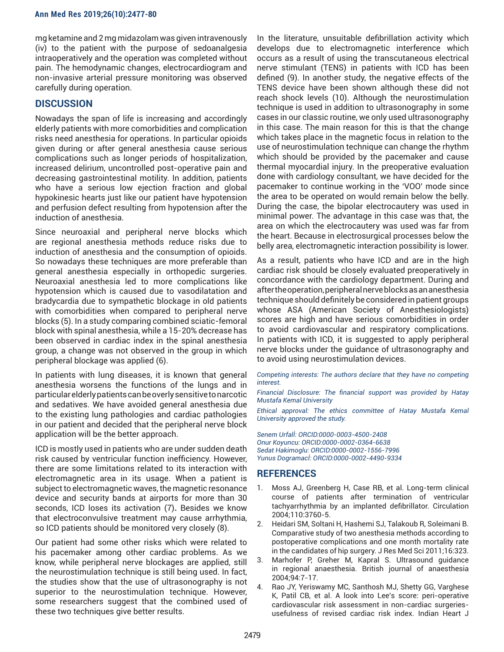mg ketamine and 2 mg midazolam was given intravenously (iv) to the patient with the purpose of sedoanalgesia intraoperatively and the operation was completed without pain. The hemodynamic changes, electrocardiogram and non-invasive arterial pressure monitoring was observed carefully during operation.

## **DISCUSSION**

Nowadays the span of life is increasing and accordingly elderly patients with more comorbidities and complication risks need anesthesia for operations. In particular opioids given during or after general anesthesia cause serious complications such as longer periods of hospitalization, increased delirium, uncontrolled post-operative pain and decreasing gastrointestinal motility. In addition, patients who have a serious low ejection fraction and global hypokinesic hearts just like our patient have hypotension and perfusion defect resulting from hypotension after the induction of anesthesia.

Since neuroaxial and peripheral nerve blocks which are regional anesthesia methods reduce risks due to induction of anesthesia and the consumption of opioids. So nowadays these techniques are more preferable than general anesthesia especially in orthopedic surgeries. Neuroaxial anesthesia led to more complications like hypotension which is caused due to vasodilatation and bradycardia due to sympathetic blockage in old patients with comorbidities when compared to peripheral nerve blocks (5). In a study comparing combined sciatic-femoral block with spinal anesthesia, while a 15-20% decrease has been observed in cardiac index in the spinal anesthesia group, a change was not observed in the group in which peripheral blockage was applied (6).

In patients with lung diseases, it is known that general anesthesia worsens the functions of the lungs and in particular elderly patients can be overly sensitive to narcotic and sedatives. We have avoided general anesthesia due to the existing lung pathologies and cardiac pathologies in our patient and decided that the peripheral nerve block application will be the better approach.

ICD is mostly used in patients who are under sudden death risk caused by ventricular function inefficiency. However, there are some limitations related to its interaction with electromagnetic area in its usage. When a patient is subject to electromagnetic waves, the magnetic resonance device and security bands at airports for more than 30 seconds, ICD loses its activation (7)**.** Besides we know that electroconvulsive treatment may cause arrhythmia, so ICD patients should be monitored very closely (8).

Our patient had some other risks which were related to his pacemaker among other cardiac problems. As we know, while peripheral nerve blockages are applied, still the neurostimulation technique is still being used. In fact, the studies show that the use of ultrasonography is not superior to the neurostimulation technique. However, some researchers suggest that the combined used of these two techniques give better results.

In the literature, unsuitable defibrillation activity which develops due to electromagnetic interference which occurs as a result of using the transcutaneous electrical nerve stimulant (TENS) in patients with ICD has been defined (9). In another study, the negative effects of the TENS device have been shown although these did not reach shock levels (10). Although the neurostimulation technique is used in addition to ultrasonography in some cases in our classic routine, we only used ultrasonography in this case. The main reason for this is that the change which takes place in the magnetic focus in relation to the use of neurostimulation technique can change the rhythm which should be provided by the pacemaker and cause thermal myocardial injury. In the preoperative evaluation done with cardiology consultant, we have decided for the pacemaker to continue working in the 'VOO' mode since the area to be operated on would remain below the belly. During the case, the bipolar electrocautery was used in minimal power. The advantage in this case was that, the area on which the electrocautery was used was far from the heart. Because in electrosurgical processes below the belly area, electromagnetic interaction possibility is lower.

As a result, patients who have ICD and are in the high cardiac risk should be closely evaluated preoperatively in concordance with the cardiology department. During and after the operation, peripheral nerve blocks as an anesthesia technique should definitely be considered in patient groups whose ASA (American Society of Anesthesiologists) scores are high and have serious comorbidities in order to avoid cardiovascular and respiratory complications. In patients with ICD, it is suggested to apply peripheral nerve blocks under the guidance of ultrasonography and to avoid using neurostimulation devices.

*Competing interests: The authors declare that they have no competing interest.* 

*Financial Disclosure: The financial support was provided by Hatay Mustafa Kemal University* 

*Ethical approval: The ethics committee of Hatay Mustafa Kemal University approved the study.*

*Senem Urfalİ: ORCID:0000-0003-4500-2408 Onur Koyuncu: ORCID:0000-0002-0364-6638 Sedat Hakimoglu: ORCID:0000-0002-1556-7996 Yunus Dogramacİ: ORCID:0000-0002-4490-9334*

## **REFERENCES**

- 1. Moss AJ, Greenberg H, Case RB, et al. Long-term clinical course of patients after termination of ventricular tachyarrhythmia by an implanted defibrillator. Circulation 2004;110:3760-5.
- 2. Heidari SM, Soltani H, Hashemi SJ, Talakoub R, Soleimani B. Comparative study of two anesthesia methods according to postoperative complications and one month mortality rate in the candidates of hip surgery. J Res Med Sci 2011;16:323.
- 3. Marhofer P, Greher M, Kapral S. Ultrasound guidance in regional anaesthesia. British journal of anaesthesia 2004;94:7-17.
- 4. Rao JY, Yeriswamy MC, Santhosh MJ, Shetty GG, Varghese K, Patil CB, et al. A look into Lee's score: peri-operative cardiovascular risk assessment in non-cardiac surgeriesusefulness of revised cardiac risk index. Indian Heart J